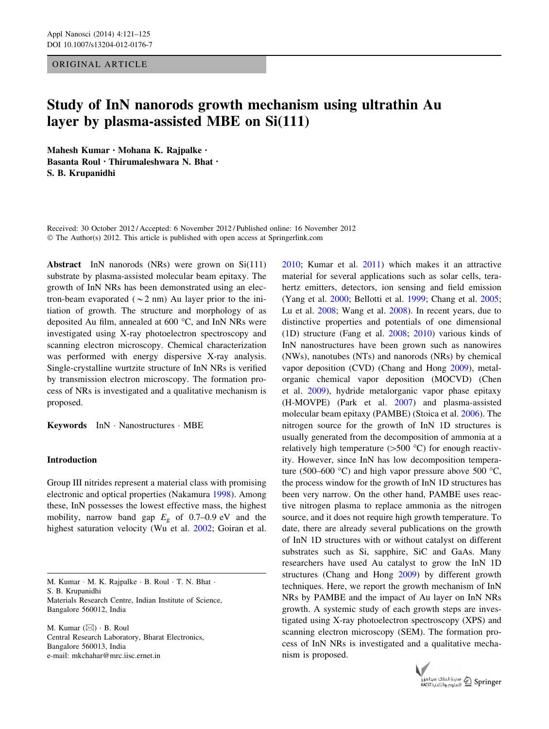ORIGINAL ARTICLE

# Study of InN nanorods growth mechanism using ultrathin Au layer by plasma-assisted MBE on Si(111)

Mahesh Kumar • Mohana K. Rajpalke • Basanta Roul • Thirumaleshwara N. Bhat • S. B. Krupanidhi

Received: 30 October 2012 / Accepted: 6 November 2012 / Published online: 16 November 2012 © The Author(s) 2012. This article is published with open access at Springerlink.com

Abstract InN nanorods (NRs) were grown on Si(111) substrate by plasma-assisted molecular beam epitaxy. The growth of InN NRs has been demonstrated using an electron-beam evaporated ( $\sim$ 2 nm) Au layer prior to the initiation of growth. The structure and morphology of as deposited Au film, annealed at  $600^{\circ}$ C, and InN NRs were investigated using X-ray photoelectron spectroscopy and scanning electron microscopy. Chemical characterization was performed with energy dispersive X-ray analysis. Single-crystalline wurtzite structure of InN NRs is verified by transmission electron microscopy. The formation process of NRs is investigated and a qualitative mechanism is proposed.

Keywords InN - Nanostructures - MBE

# Introduction

Group III nitrides represent a material class with promising electronic and optical properties (Nakamura [1998\)](#page-4-0). Among these, InN possesses the lowest effective mass, the highest mobility, narrow band gap  $E<sub>g</sub>$  of 0.7–0.9 eV and the highest saturation velocity (Wu et al. [2002;](#page-4-0) Goiran et al.

M. Kumar · M. K. Rajpalke · B. Roul · T. N. Bhat · S. B. Krupanidhi Materials Research Centre, Indian Institute of Science, Bangalore 560012, India

M. Kumar  $(\boxtimes) \cdot$  B. Roul Central Research Laboratory, Bharat Electronics, Bangalore 560013, India e-mail: mkchahar@mrc.iisc.ernet.in

[2010](#page-4-0); Kumar et al. [2011\)](#page-4-0) which makes it an attractive material for several applications such as solar cells, terahertz emitters, detectors, ion sensing and field emission (Yang et al. [2000](#page-4-0); Bellotti et al. [1999;](#page-4-0) Chang et al. [2005](#page-4-0); Lu et al. [2008;](#page-4-0) Wang et al. [2008](#page-4-0)). In recent years, due to distinctive properties and potentials of one dimensional (1D) structure (Fang et al. [2008;](#page-4-0) [2010\)](#page-4-0) various kinds of InN nanostructures have been grown such as nanowires (NWs), nanotubes (NTs) and nanorods (NRs) by chemical vapor deposition (CVD) (Chang and Hong [2009\)](#page-4-0), metalorganic chemical vapor deposition (MOCVD) (Chen et al. [2009\)](#page-4-0), hydride metalorganic vapor phase epitaxy (H-MOVPE) (Park et al. [2007](#page-4-0)) and plasma-assisted molecular beam epitaxy (PAMBE) (Stoica et al. [2006](#page-4-0)). The nitrogen source for the growth of InN 1D structures is usually generated from the decomposition of ammonia at a relatively high temperature ( $>500$  °C) for enough reactivity. However, since InN has low decomposition temperature (500–600 °C) and high vapor pressure above 500 °C, the process window for the growth of InN 1D structures has been very narrow. On the other hand, PAMBE uses reactive nitrogen plasma to replace ammonia as the nitrogen source, and it does not require high growth temperature. To date, there are already several publications on the growth of InN 1D structures with or without catalyst on different substrates such as Si, sapphire, SiC and GaAs. Many researchers have used Au catalyst to grow the InN 1D structures (Chang and Hong [2009](#page-4-0)) by different growth techniques. Here, we report the growth mechanism of InN NRs by PAMBE and the impact of Au layer on InN NRs growth. A systemic study of each growth steps are investigated using X-ray photoelectron spectroscopy (XPS) and scanning electron microscopy (SEM). The formation process of InN NRs is investigated and a qualitative mechanism is proposed.

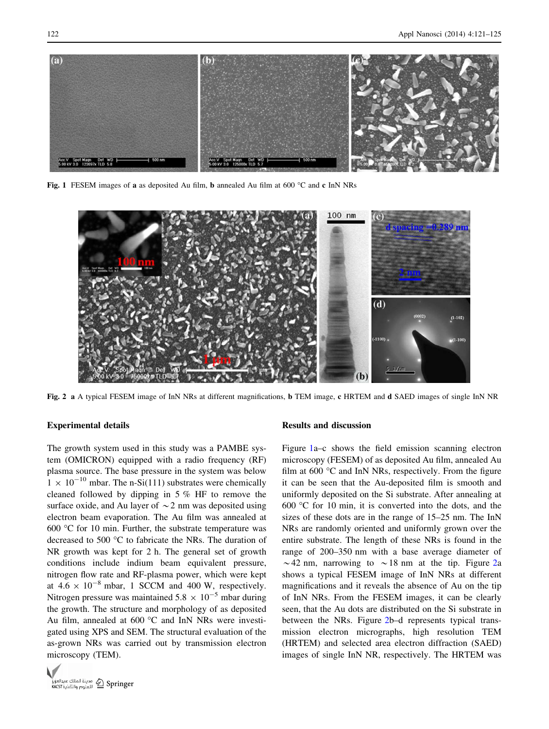

Fig. 1 FESEM images of a as deposited Au film, **b** annealed Au film at 600  $^{\circ}$ C and c InN NRs



Fig. 2 a A typical FESEM image of InN NRs at different magnifications, **b** TEM image, **c** HRTEM and **d** SAED images of single InN NR

## Experimental details

The growth system used in this study was a PAMBE system (OMICRON) equipped with a radio frequency (RF) plasma source. The base pressure in the system was below  $1 \times 10^{-10}$  mbar. The n-Si(111) substrates were chemically cleaned followed by dipping in 5 % HF to remove the surface oxide, and Au layer of  $\sim$  2 nm was deposited using electron beam evaporation. The Au film was annealed at 600  $\degree$ C for 10 min. Further, the substrate temperature was decreased to 500 °C to fabricate the NRs. The duration of NR growth was kept for 2 h. The general set of growth conditions include indium beam equivalent pressure, nitrogen flow rate and RF-plasma power, which were kept at  $4.6 \times 10^{-8}$  mbar, 1 SCCM and 400 W, respectively. Nitrogen pressure was maintained  $5.8 \times 10^{-5}$  mbar during the growth. The structure and morphology of as deposited Au film, annealed at  $600^{\circ}$ C and InN NRs were investigated using XPS and SEM. The structural evaluation of the as-grown NRs was carried out by transmission electron microscopy (TEM).



#### Results and discussion

Figure 1a–c shows the field emission scanning electron microscopy (FESEM) of as deposited Au film, annealed Au film at 600  $\degree$ C and InN NRs, respectively. From the figure it can be seen that the Au-deposited film is smooth and uniformly deposited on the Si substrate. After annealing at 600  $\degree$ C for 10 min, it is converted into the dots, and the sizes of these dots are in the range of 15–25 nm. The InN NRs are randomly oriented and uniformly grown over the entire substrate. The length of these NRs is found in the range of 200–350 nm with a base average diameter of  $\sim$  42 nm, narrowing to  $\sim$  18 nm at the tip. Figure 2a shows a typical FESEM image of InN NRs at different magnifications and it reveals the absence of Au on the tip of InN NRs. From the FESEM images, it can be clearly seen, that the Au dots are distributed on the Si substrate in between the NRs. Figure 2b–d represents typical transmission electron micrographs, high resolution TEM (HRTEM) and selected area electron diffraction (SAED) images of single InN NR, respectively. The HRTEM was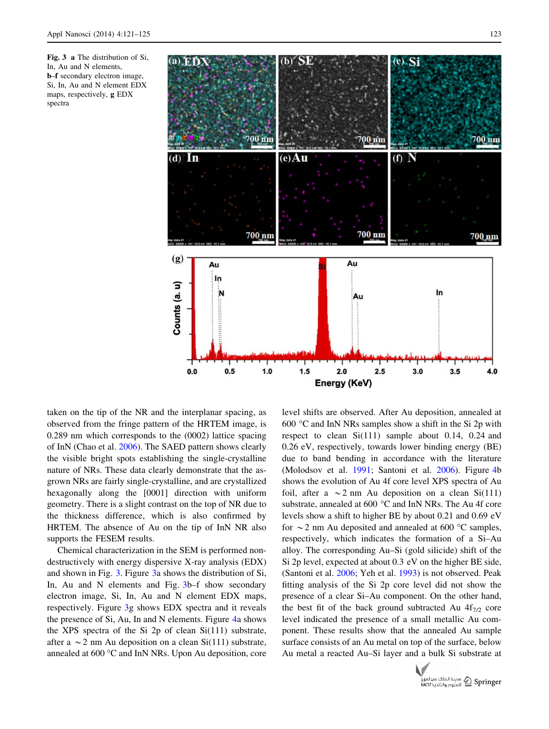



taken on the tip of the NR and the interplanar spacing, as observed from the fringe pattern of the HRTEM image, is 0.289 nm which corresponds to the (0002) lattice spacing of InN (Chao et al. [2006\)](#page-4-0). The SAED pattern shows clearly the visible bright spots establishing the single-crystalline nature of NRs. These data clearly demonstrate that the asgrown NRs are fairly single-crystalline, and are crystallized hexagonally along the [0001] direction with uniform geometry. There is a slight contrast on the top of NR due to the thickness difference, which is also confirmed by HRTEM. The absence of Au on the tip of InN NR also supports the FESEM results.

Chemical characterization in the SEM is performed nondestructively with energy dispersive X-ray analysis (EDX) and shown in Fig. 3. Figure 3a shows the distribution of Si, In, Au and N elements and Fig. 3b–f show secondary electron image, Si, In, Au and N element EDX maps, respectively. Figure 3g shows EDX spectra and it reveals the presence of Si, Au, In and N elements. Figure [4](#page-3-0)a shows the XPS spectra of the Si 2p of clean Si(111) substrate, after a  $\sim$  2 nm Au deposition on a clean Si(111) substrate, annealed at 600 °C and InN NRs. Upon Au deposition, core level shifts are observed. After Au deposition, annealed at 600  $\degree$ C and InN NRs samples show a shift in the Si 2p with respect to clean Si(111) sample about 0.14, 0.24 and 0.26 eV, respectively, towards lower binding energy (BE) due to band bending in accordance with the literature (Molodsov et al. [1991;](#page-4-0) Santoni et al. [2006\)](#page-4-0). Figure [4](#page-3-0)b shows the evolution of Au 4f core level XPS spectra of Au foil, after a  $\sim$  2 nm Au deposition on a clean Si(111) substrate, annealed at  $600\text{ °C}$  and InN NRs. The Au 4f core levels show a shift to higher BE by about 0.21 and 0.69 eV for  $\sim$  2 nm Au deposited and annealed at 600 °C samples, respectively, which indicates the formation of a Si–Au alloy. The corresponding Au–Si (gold silicide) shift of the Si 2p level, expected at about 0.3 eV on the higher BE side, (Santoni et al. [2006](#page-4-0); Yeh et al. [1993\)](#page-4-0) is not observed. Peak fitting analysis of the Si 2p core level did not show the presence of a clear Si–Au component. On the other hand, the best fit of the back ground subtracted Au  $4f_{7/2}$  core level indicated the presence of a small metallic Au component. These results show that the annealed Au sample surface consists of an Au metal on top of the surface, below Au metal a reacted Au–Si layer and a bulk Si substrate at

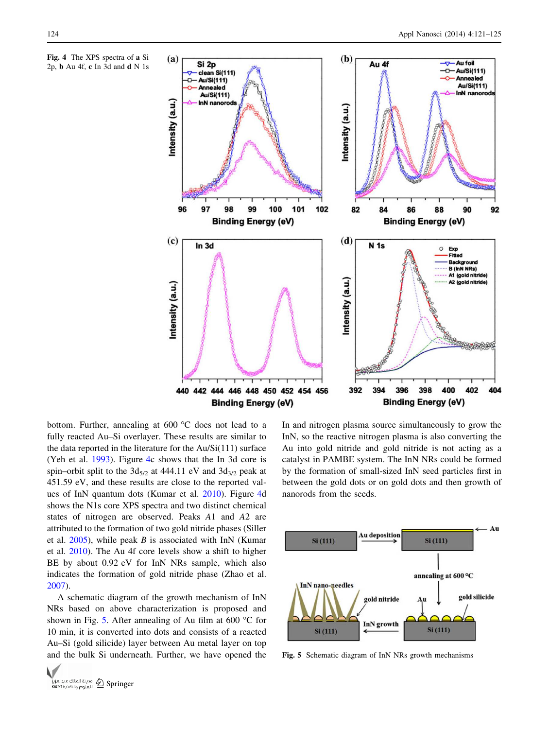<span id="page-3-0"></span>Fig. 4 The XPS spectra of a Si 2p, b Au 4f, c In 3d and d N 1s



bottom. Further, annealing at  $600\text{ °C}$  does not lead to a fully reacted Au–Si overlayer. These results are similar to the data reported in the literature for the Au/Si(111) surface (Yeh et al. [1993](#page-4-0)). Figure 4c shows that the In 3d core is spin–orbit split to the  $3d_{5/2}$  at 444.11 eV and  $3d_{3/2}$  peak at 451.59 eV, and these results are close to the reported values of InN quantum dots (Kumar et al. [2010\)](#page-4-0). Figure 4d shows the N1s core XPS spectra and two distinct chemical states of nitrogen are observed. Peaks A1 and A2 are attributed to the formation of two gold nitride phases (Siller et al.  $2005$ ), while peak B is associated with InN (Kumar et al. [2010](#page-4-0)). The Au 4f core levels show a shift to higher BE by about 0.92 eV for InN NRs sample, which also indicates the formation of gold nitride phase (Zhao et al. [2007\)](#page-4-0).

A schematic diagram of the growth mechanism of InN NRs based on above characterization is proposed and shown in Fig. 5. After annealing of Au film at 600  $^{\circ}$ C for 10 min, it is converted into dots and consists of a reacted Au–Si (gold silicide) layer between Au metal layer on top and the bulk Si underneath. Further, we have opened the



In and nitrogen plasma source simultaneously to grow the InN, so the reactive nitrogen plasma is also converting the Au into gold nitride and gold nitride is not acting as a catalyst in PAMBE system. The InN NRs could be formed by the formation of small-sized InN seed particles first in between the gold dots or on gold dots and then growth of nanorods from the seeds.



Fig. 5 Schematic diagram of InN NRs growth mechanisms